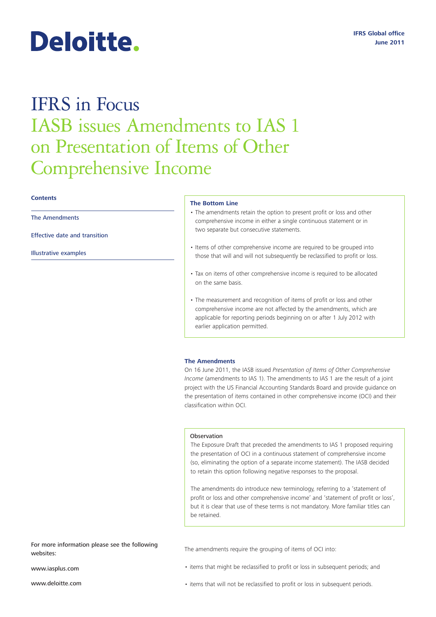# Deloitte.

# IFRS in Focus IASB issues Amendments to IAS 1 on Presentation of Items of Other Comprehensive Income

# **Contents**

The Amendments

[Effective date and transition](#page-1-0)

[Illustrative examples](#page-1-0)

## **The Bottom Line**

- The amendments retain the option to present profit or loss and other comprehensive income in either a single continuous statement or in two separate but consecutive statements.
- Items of other comprehensive income are required to be grouped into those that will and will not subsequently be reclassified to profit or loss.
- Tax on items of other comprehensive income is required to be allocated on the same basis.
- The measurement and recognition of items of profit or loss and other comprehensive income are not affected by the amendments, which are applicable for reporting periods beginning on or after 1 July 2012 with earlier application permitted.

# **The Amendments**

On 16 June 2011, the IASB issued *Presentation of Items of Other Comprehensive Income* (amendments to IAS 1). The amendments to IAS 1 are the result of a joint project with the US Financial Accounting Standards Board and provide guidance on the presentation of items contained in other comprehensive income (OCI) and their classification within OCI.

## **Observation**

The Exposure Draft that preceded the amendments to IAS 1 proposed requiring the presentation of OCI in a continuous statement of comprehensive income (so, eliminating the option of a separate income statement). The IASB decided to retain this option following negative responses to the proposal.

The amendments do introduce new terminology, referring to a 'statement of profit or loss and other comprehensive income' and 'statement of profit or loss', but it is clear that use of these terms is not mandatory. More familiar titles can be retained.

For more information please see the following websites:

www.iasplus.com

www.deloitte.com

The amendments require the grouping of items of OCI into:

- items that might be reclassified to profit or loss in subsequent periods; and
- items that will not be reclassified to profit or loss in subsequent periods.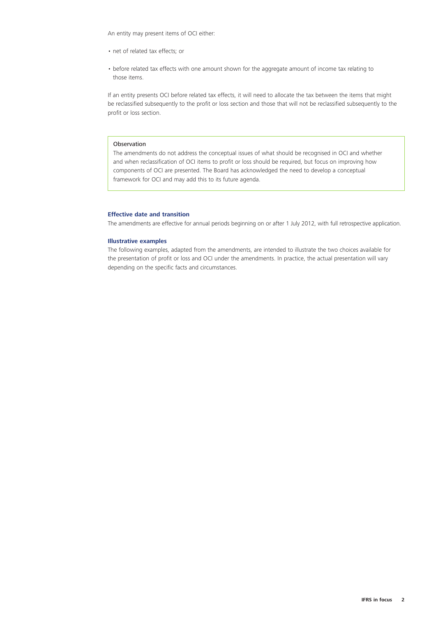<span id="page-1-0"></span>An entity may present items of OCI either:

- net of related tax effects; or
- before related tax effects with one amount shown for the aggregate amount of income tax relating to those items.

If an entity presents OCI before related tax effects, it will need to allocate the tax between the items that might be reclassified subsequently to the profit or loss section and those that will not be reclassified subsequently to the profit or loss section.

# Observation

The amendments do not address the conceptual issues of what should be recognised in OCI and whether and when reclassification of OCI items to profit or loss should be required, but focus on improving how components of OCI are presented. The Board has acknowledged the need to develop a conceptual framework for OCI and may add this to its future agenda.

# **Effective date and transition**

The amendments are effective for annual periods beginning on or after 1 July 2012, with full retrospective application.

# **Illustrative examples**

The following examples, adapted from the amendments, are intended to illustrate the two choices available for the presentation of profit or loss and OCI under the amendments. In practice, the actual presentation will vary depending on the specific facts and circumstances.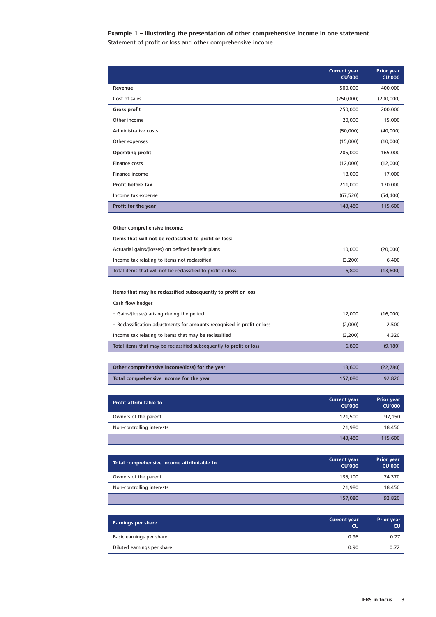# **Example 1 – illustrating the presentation of other comprehensive income in one statement** Statement of profit or loss and other comprehensive income

|                                                                                       | <b>Current year</b><br><b>CU'000</b> | <b>Prior year</b><br><b>CU'000</b> |
|---------------------------------------------------------------------------------------|--------------------------------------|------------------------------------|
| Revenue                                                                               | 500,000                              | 400,000                            |
| Cost of sales                                                                         | (250,000)                            | (200,000)                          |
| Gross profit                                                                          | 250,000                              | 200,000                            |
| Other income                                                                          | 20,000                               | 15,000                             |
| Administrative costs                                                                  | (50,000)                             | (40,000)                           |
| Other expenses                                                                        | (15,000)                             | (10,000)                           |
| <b>Operating profit</b>                                                               | 205,000                              | 165,000                            |
| Finance costs                                                                         | (12,000)                             | (12,000)                           |
| Finance income                                                                        | 18,000                               | 17,000                             |
| <b>Profit before tax</b>                                                              | 211,000                              | 170,000                            |
| Income tax expense                                                                    | (67, 520)                            | (54, 400)                          |
| <b>Profit for the year</b>                                                            | 143,480                              | 115,600                            |
| Other comprehensive income:<br>Items that will not be reclassified to profit or loss: |                                      |                                    |
| Actuarial gains/(losses) on defined benefit plans                                     | 10,000                               | (20,000)                           |
| Income tax relating to items not reclassified                                         | (3,200)                              | 6,400                              |
| Total items that will not be reclassified to profit or loss                           | 6,800                                | (13,600)                           |
| Items that may be reclassified subsequently to profit or loss:<br>Cash flow hedges    |                                      |                                    |
| - Gains/(losses) arising during the period                                            | 12,000                               | (16,000)                           |
| - Reclassification adjustments for amounts recognised in profit or loss               | (2,000)                              | 2,500                              |
| Income tax relating to items that may be reclassified                                 | (3,200)                              | 4,320                              |
| Total items that may be reclassified subsequently to profit or loss                   | 6,800                                | (9, 180)                           |
|                                                                                       |                                      |                                    |
| Other comprehensive income/(loss) for the year                                        | 13,600                               | (22, 780)                          |
| Total comprehensive income for the year                                               | 157,080                              | 92,820                             |
| <b>Profit attributable to</b>                                                         | <b>Current year</b>                  | <b>Prior year</b>                  |
|                                                                                       | <b>CU'000</b>                        | <b>CU'000</b>                      |
| Owners of the parent                                                                  | 121,500                              | 97,150                             |
| Non-controlling interests                                                             | 21,980                               | 18,450                             |
|                                                                                       | 143,480                              | 115,600                            |
| Total comprehensive income attributable to                                            | <b>Current year</b><br><b>CU'000</b> | <b>Prior year</b><br><b>CU'000</b> |
| Owners of the parent                                                                  | 135,100                              | 74,370                             |
| Non-controlling interests                                                             | 21,980                               | 18,450                             |
|                                                                                       | 157,080                              | 92,820                             |
| <b>Earnings per share</b>                                                             | <b>Current year</b><br>CU            | Prior year<br>CU.                  |
| Basic earnings per share                                                              | 0.96                                 | 0.77                               |
| Diluted earnings per share                                                            | 0.90                                 | 0.72                               |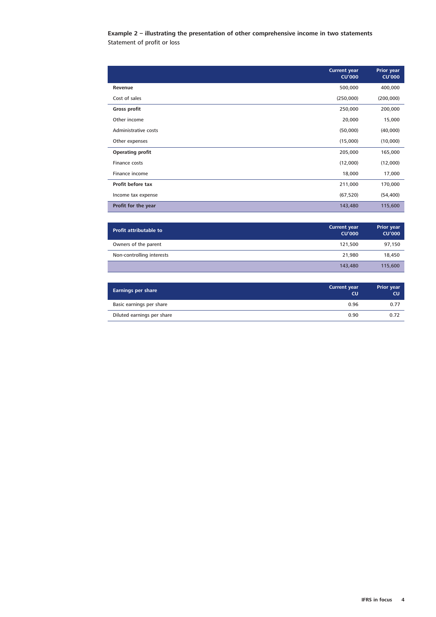# **Example 2 – illustrating the presentation of other comprehensive income in two statements** Statement of profit or loss

|                         | <b>Current year</b><br><b>CU'000</b> | <b>Prior year</b><br><b>CU'000</b> |
|-------------------------|--------------------------------------|------------------------------------|
| Revenue                 | 500,000                              | 400,000                            |
| Cost of sales           | (250,000)                            | (200,000)                          |
| Gross profit            | 250,000                              | 200,000                            |
| Other income            | 20,000                               | 15,000                             |
| Administrative costs    | (50,000)                             | (40,000)                           |
| Other expenses          | (15,000)                             | (10,000)                           |
| <b>Operating profit</b> | 205,000                              | 165,000                            |
| Finance costs           | (12,000)                             | (12,000)                           |
| Finance income          | 18,000                               | 17,000                             |
| Profit before tax       | 211,000                              | 170,000                            |
| Income tax expense      | (67, 520)                            | (54, 400)                          |
| Profit for the year     | 143,480                              | 115,600                            |

| <b>Profit attributable to</b> | <b>Current year</b><br><b>CU'000</b> | <b>Prior year</b><br><b>CU'000</b> |
|-------------------------------|--------------------------------------|------------------------------------|
| Owners of the parent          | 121.500                              | 97,150                             |
| Non-controlling interests     | 21.980                               | 18.450                             |
|                               | 143,480                              | 115,600                            |

| <b>Earnings per share</b>  | <b>Current year</b><br><b>CU</b> | <b>Prior year</b><br><b>CU</b> |
|----------------------------|----------------------------------|--------------------------------|
| Basic earnings per share   | 0.96                             | 0.77                           |
| Diluted earnings per share | 0.90                             | 0.72                           |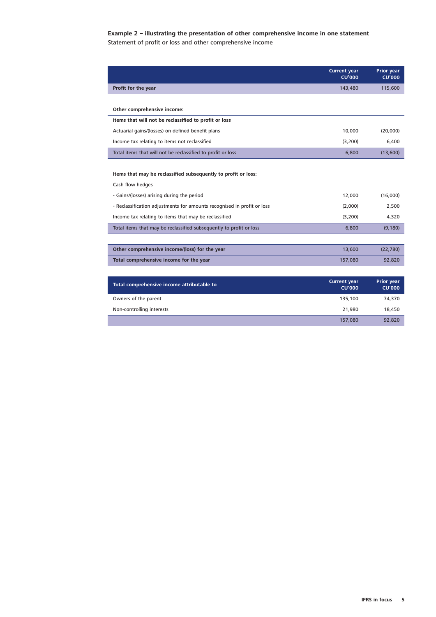# **Example 2 – illustrating the presentation of other comprehensive income in one statement** Statement of profit or loss and other comprehensive income

|                                                                         | <b>Current year</b><br><b>CU'000</b> | <b>Prior year</b><br><b>CU'000</b> |
|-------------------------------------------------------------------------|--------------------------------------|------------------------------------|
| Profit for the year                                                     | 143,480                              | 115,600                            |
|                                                                         |                                      |                                    |
| Other comprehensive income:                                             |                                      |                                    |
| Items that will not be reclassified to profit or loss                   |                                      |                                    |
| Actuarial gains/(losses) on defined benefit plans                       | 10,000                               | (20,000)                           |
| Income tax relating to items not reclassified                           | (3,200)                              | 6,400                              |
| Total items that will not be reclassified to profit or loss             | 6,800                                | (13,600)                           |
|                                                                         |                                      |                                    |
| Items that may be reclassified subsequently to profit or loss:          |                                      |                                    |
| Cash flow hedges                                                        |                                      |                                    |
| - Gains/(losses) arising during the period                              | 12,000                               | (16.000)                           |
| - Reclassification adjustments for amounts recognised in profit or loss | (2,000)                              | 2,500                              |
| Income tax relating to items that may be reclassified                   | (3,200)                              | 4,320                              |
| Total items that may be reclassified subsequently to profit or loss     | 6,800                                | (9, 180)                           |
|                                                                         |                                      |                                    |
| Other comprehensive income/(loss) for the year                          | 13,600                               | (22, 780)                          |
| Total comprehensive income for the year                                 | 157,080                              | 92,820                             |
|                                                                         |                                      |                                    |
| Total comprehensive income attributable to                              | <b>Current year</b><br><b>CU'000</b> | <b>Prior year</b><br><b>CU'000</b> |
| Owners of the parent                                                    | 135,100                              | 74,370                             |
| Non-controlling interests                                               | 21,980                               | 18,450                             |
|                                                                         | 157,080                              | 92,820                             |